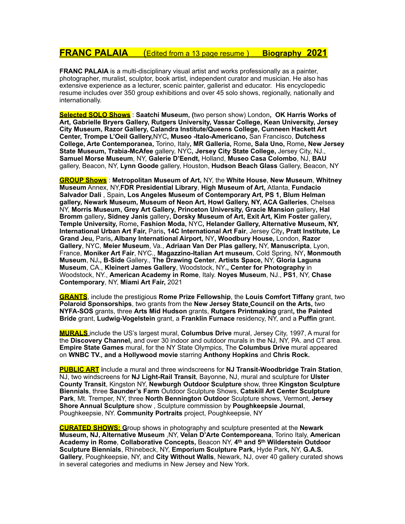## **FRANC PALAIA** (Edited from a 13 page resume ) **Biography 2021**

**FRANC PALAIA** is a multi-disciplinary visual artist and works professionally as a painter, photographer, muralist, sculptor, book artist, independent curator and musician. He also has extensive experience as a lecturer, scenic painter, gallerist and educator. His encyclopedic resume includes over 350 group exhibitions and over 45 solo shows, regionally, nationally and internationally.

**Selected SOLO Shows** : **Saatchi Museum, (**two person show) London**, OK Harris Works of Art, Gabrielle Bryers Gallery, Rutgers University, Vassar College, Kean University, Jersey City Museum, Razor Gallery, Calandra Institute/Queens College, Cunneen Hackett Art Center, Trompe L'Oeil Gallery,**NYC**, Museo -Italo-Americano,** San Francisco, **Dutchess College, Arte Contemporanea,** Torino, Italy**, MR Galleria,** Rome**, Sala Uno,** Rome**, New Jersey State Museum, Trabia-McAfee** gallery, NYC**, Jersey City State College,** Jersey City, NJ., **Samuel Morse Museum**, NY, **Galerie D'Eendt,** Holland, **Museo Casa Colombo**, NJ, **BAU** gallery, Beacon, NY, **Lynn Goode** gallery, Houston, **Hudson Beach Glass** Gallery, Beacon, NY

**GROUP Shows** : **Metropolitan Museum of Art,** NY, the **White House**, **New Museum**, **Whitney Museum** Annex, NY,**FDR Presidential Library**, **High Museum of Art,** Atlanta, **Fundacio Salvador Dali** , Spain**, Los Angeles Museum of Contemporary Art, PS 1, Blum Helman gallery, Newark Museum, Museum of Neon Art, Howl Gallery, NY, ACA Galleries**, Chelsea NY, **Morris Museum, Grey Art Gallery, Princeton University, Gracie Mansion** gallery**, Hal Bromm** gallery**, Sidney Janis** gallery**, Dorsky Museum of Art, Exit Art, Kim Foster** gallery**, Temple University,** Rome**, Fashion Moda,** NYC**, Helander Gallery, Alternative Museum, NY, International Urban Art Fair,** Paris**, 14C International Art Fair**, Jersey City**, Pratt Institute, Le Grand Jeu,** Paris**, Albany International Airport,** NY**, Woodbury House,** London, **Razor Gallery**, NYC, **Meier Museum**, Va., **Adriaan Van Der Plas gallery,** NY, **Manuscripta**, Lyon, France, **Moniker Art Fair**, NYC., **Magazzino-Italian Art museum**, Cold Spring, NY**, Monmouth Museum**, NJ**., B-Side** Gallery., **The Drawing Center**, **Artists Space,** NY, **Gloria Laguna Museum**, CA., **Kleinert James Gallery**, Woodstock, NY**., Center for Photography** in Woodstock, NY., **American Academy in Rome**, Italy. **Noyes Museum**, NJ., **PS1**, NY, **Chase Contemporary**, NY, **Miami Art Fair,** 2021

**GRANTS**, include the prestigious **Rome Prize Fellowship**, the **Louis Comfort Tiffany** grant, two **Polaroid Sponsorships**, two grants from the **New Jersey State Council on the Arts,** two **NYFA-SOS** grants, three **Arts Mid Hudson** grants, **Rutgers Printmaking** grant**, the Painted Bride** grant, **Ludwig-Vogelstein** grant, a **Franklin Furnace** residency, NY, and a **Puffin** grant.

**MURALS** include the US's largest mural, **Columbus Drive** mural, Jersey City, 1997, A mural for the **Discovery Channel,** and over 30 indoor and outdoor murals in the NJ, NY, PA. and CT area. **Empire State Games** mural, for the NY State Olympics, The **Columbus Drive** mural appeared on **WNBC TV., and a Hollywood movie** starring **Anthony Hopkins** and **Chris Rock.**

**PUBLIC ART i**nclude a mural and three windscreens for **NJ Transit-Woodbridge Train Station**, NJ, two windscreens for **NJ Light-Rail Transit**, Bayonne, NJ, mural and sculpture for **Ulster County Transit**, Kingston NY, **Newburgh Outdoor Sculpture** show, three **Kingston Sculpture Biennials**, three **Saunder's Farm** Outdoor Sculpture Shows, **Catskill Art Center Sculpture Park**, Mt. Tremper, NY, three **North Bennington Outdoor** Sculpture shows, Vermont, **Jersey Shore Annual Sculpture** show , Sculpture commission by **Poughkeepsie Journal**, Poughkeepsie, NY. **Community Portraits** project, Poughkeepsie, NY

**CURATED SHOWS: G**roup shows in photography and sculpture presented at the **Newark Museum, NJ, Alternative Museum** ,NY, **Velan D'Arte Contemporeana**, Torino Italy, **American Academy in Rome**, **Collaborative Concepts,** Beacon NY, **4th and 5th Wilderstein Outdoor Sculpture Biennials**, Rhinebeck, NY, **Emporium Sculpture Park,** Hyde Park**,** NY, **G.A.S. Gallery**, Poughkeepsie, NY, and **City Without Walls**, Newark, NJ, over 40 gallery curated shows in several categories and mediums in New Jersey and New York.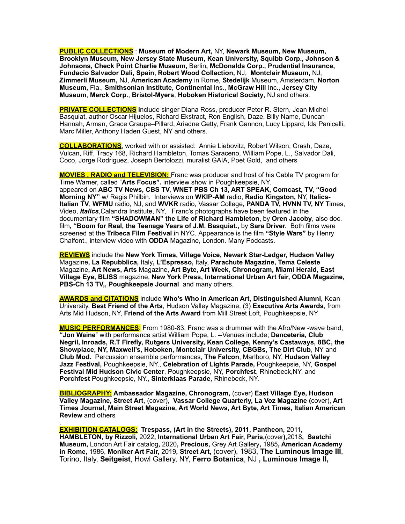**PUBLIC COLLECTIONS** : **Museum of Modern Art,** NY, **Newark Museum, New Museum, Brooklyn Museum, New Jersey State Museum, Kean University, Squibb Corp., Johnson & Johnsons, Check Point Charlie Museum,** Berlin**, McDonalds Corp., Prudential Insurance, Fundacio Salvador Dali, Spain, Robert Wood Collection,** NJ, **Montclair Museum,** NJ, **Zimmerli Museum,** NJ, **American Academy** in Rome, **Stedelijk** Museum, Amsterdam, **Norton Museum,** Fla., **Smithsonian Institute, Continental** Ins., **McGraw Hill** Inc., **Jersey City Museum**, **Merck Corp.**, **Bristol-Myers**, **Hoboken Historical Society**, NJ and others.

**PRIVATE COLLECTIONS i**nclude singer Diana Ross, producer Peter R. Stern, Jean Michel Basquiat, author Oscar Hijuelos, Richard Ekstract, Ron English, Daze, Billy Name, Duncan Hannah, Arman, Grace Graupe–Pillard, Ariadne Getty, Frank Gannon, Lucy Lippard, Ida Panicelli, Marc Miller, Anthony Haden Guest, NY and others.

**COLLABORATIONS**, worked with or assisted: Annie Liebovitz, Robert Wilson, Crash, Daze, Vulcan, Riff, Tracy 168, Richard Hambleton, Tomas Saraceno, William Pope, L., Salvador Dali, Coco, Jorge Rodriguez, Joseph Bertolozzi, muralist GAIA, Poet Gold, and others

**MOVIES , RADIO and TELEVISION:** Franc was producer and host of his Cable TV program for Time Warner, called "**Arts Focus".** interview show in Poughkeepsie, NY. appeared on **ABC TV News, CBS TV, WNET PBS Ch 13, ART SPEAK, Comcast, TV, "Good Morning NY"** w/ Regis Philbin. Interviews on **WKIP-AM** radio, **Radio Kingston,** NY, **Italics-Italian TV**, **WFMU** radio, NJ, and **WVKR** radio, Vassar College**, PANDA TV, HVNN TV, NY** Times, Video, *Italics*,Calandra Institute, NY, Franc's photographs have been featured in the documentary film **"SHADOWMAN" the Life of Richard Hambleton,** by **Oren Jacoby**, also doc. film**, "Boom for Real, the Teenage Years of J.M. Basquiat.,** by **Sara Driver.** Both films were screened at the **Tribeca Film Festival** in NYC. Appearance is the film **"Style Wars"** by Henry Chalfont., interview video with **ODDA** Magazine, London. Many Podcasts.

**REVIEWS** include the **New York Times, Village Voice, Newark Star-Ledger, Hudson Valley**  Magazine**, La Repubblica,** Italy**, L'Espresso,** Italy, **Parachute Magazine, Tema Celeste**  Magazine**, Art News, Arts** Magazine**, Art Byte, Art Week, Chronogram, Miami Herald, East Village Eye, BLISS** magazine, **New York Press, International Urban Art fair, ODDA Magazine, PBS-Ch 13 TV,, Poughkeepsie Journal** and many others.

**AWARDS and CITATIONS** include **Who's Who in American Art**, **Distinguished Alumni,** Kean University, **Best Friend of the Arts**, Hudson Valley Magazine, (3) **Executive Arts Awards**, from Arts Mid Hudson, NY, **Friend of the Arts Award** from Mill Street Loft, Poughkeepsie, NY

**MUSIC PERFORMANCES**: From 1980-83, Franc was a drummer with the Afro/New -wave band, **"Jon Waine**" with performance artist William Pope, L. --Venues include; **Danceteria, Club Negril, Inroads, R.T Firefly, Rutgers University, Kean College, Kenny's Castaways, 8BC, the Showplace, NY, Maxwell's, Hoboken, Montclair University, CBGBs, The Dirt Club**, NY and **Club Mod.** Percussion ensemble performances, **The Falcon**, Marlboro, NY, **Hudson Valley Jazz Festival,** Poughkeepsie, NY., **Celebration of Lights Parade,** Poughkeepsie, NY, **Gospel Festival Mid Hudson Civic Center**, Poughkeepsie, NY, **Porchfest**, Rhinebeck,NY. and **Porchfest** Poughkeepsie, NY., **Sinterklaas Parade**, Rhinebeck, NY.

**BIBLIOGRAPHY: Ambassador Magazine, Chronogram,** (cover) **East Village Eye, Hudson Valley Magazine, Street Art**, (cover), **Vassar College Quarterly, La Voz Magazine (**cover), **Art Times Journal, Main Street Magazine, Art World News, Art Byte, Art Times, Italian American Review** and others

. **EXHIBITION CATALOGS: Trespass, (Art in the Streets), 2011, Pantheon,** 2011**, HAMBLETON, by Rizzoli,** 2022**, International Urban Art Fair, Paris,**(cover**)**,2018**, Saatchi Museum,** London Art Fair catalog**,** 2020**, Precious,** Grey Art Gallery**,** 1985**, American Academy in Rome,** 1986, **Moniker Art Fair,** 2019**, Street Art,** (cover), 1983, **The Luminous Image III**, Torino, Italy, **Seitgeist**, Howl Gallery, NY, **Ferro Botanica**, NJ **, Luminous Image II,**